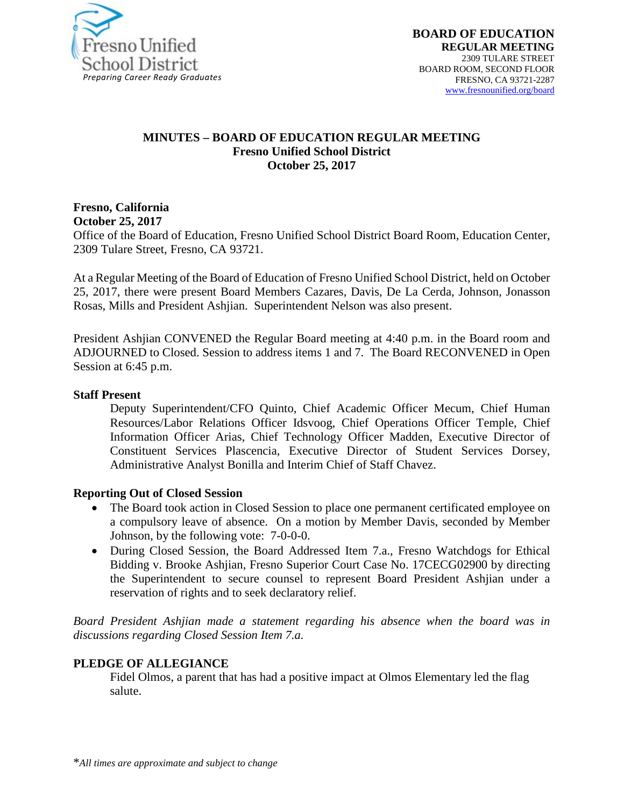

#### **MINUTES – BOARD OF EDUCATION REGULAR MEETING Fresno Unified School District October 25, 2017**

#### **Fresno, California October 25, 2017**

Office of the Board of Education, Fresno Unified School District Board Room, Education Center, 2309 Tulare Street, Fresno, CA 93721.

At a Regular Meeting of the Board of Education of Fresno Unified School District, held on October 25, 2017, there were present Board Members Cazares, Davis, De La Cerda, Johnson, Jonasson Rosas, Mills and President Ashjian. Superintendent Nelson was also present.

President Ashjian CONVENED the Regular Board meeting at 4:40 p.m. in the Board room and ADJOURNED to Closed. Session to address items 1 and 7. The Board RECONVENED in Open Session at 6:45 p.m.

#### **Staff Present**

Deputy Superintendent/CFO Quinto, Chief Academic Officer Mecum, Chief Human Resources/Labor Relations Officer Idsvoog, Chief Operations Officer Temple, Chief Information Officer Arias, Chief Technology Officer Madden, Executive Director of Constituent Services Plascencia, Executive Director of Student Services Dorsey, Administrative Analyst Bonilla and Interim Chief of Staff Chavez.

#### **Reporting Out of Closed Session**

- The Board took action in Closed Session to place one permanent certificated employee on a compulsory leave of absence. On a motion by Member Davis, seconded by Member Johnson, by the following vote: 7-0-0-0.
- During Closed Session, the Board Addressed Item 7.a., Fresno Watchdogs for Ethical Bidding v. Brooke Ashjian, Fresno Superior Court Case No. 17CECG02900 by directing the Superintendent to secure counsel to represent Board President Ashjian under a reservation of rights and to seek declaratory relief.

*Board President Ashjian made a statement regarding his absence when the board was in discussions regarding Closed Session Item 7.a.*

### **PLEDGE OF ALLEGIANCE**

Fidel Olmos, a parent that has had a positive impact at Olmos Elementary led the flag salute.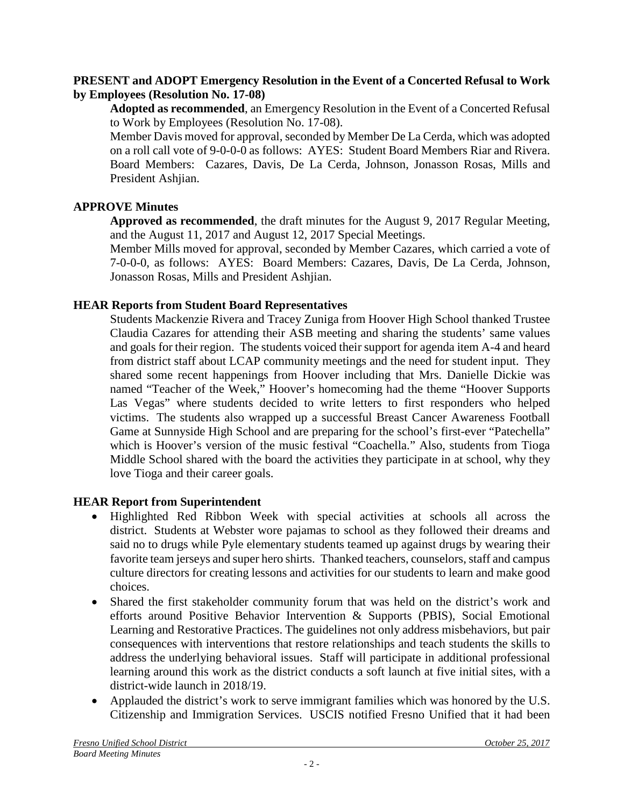### **PRESENT and ADOPT Emergency Resolution in the Event of a Concerted Refusal to Work by Employees (Resolution No. 17-08)**

**Adopted as recommended**, an Emergency Resolution in the Event of a Concerted Refusal to Work by Employees (Resolution No. 17-08).

Member Davis moved for approval, seconded by Member De La Cerda, which was adopted on a roll call vote of 9-0-0-0 as follows: AYES: Student Board Members Riar and Rivera. Board Members: Cazares, Davis, De La Cerda, Johnson, Jonasson Rosas, Mills and President Ashjian.

# **APPROVE Minutes**

**Approved as recommended**, the draft minutes for the August 9, 2017 Regular Meeting, and the August 11, 2017 and August 12, 2017 Special Meetings.

Member Mills moved for approval, seconded by Member Cazares, which carried a vote of 7-0-0-0, as follows: AYES: Board Members: Cazares, Davis, De La Cerda, Johnson, Jonasson Rosas, Mills and President Ashjian.

# **HEAR Reports from Student Board Representatives**

Students Mackenzie Rivera and Tracey Zuniga from Hoover High School thanked Trustee Claudia Cazares for attending their ASB meeting and sharing the students' same values and goals for their region. The students voiced their support for agenda item A-4 and heard from district staff about LCAP community meetings and the need for student input. They shared some recent happenings from Hoover including that Mrs. Danielle Dickie was named "Teacher of the Week," Hoover's homecoming had the theme "Hoover Supports Las Vegas" where students decided to write letters to first responders who helped victims. The students also wrapped up a successful Breast Cancer Awareness Football Game at Sunnyside High School and are preparing for the school's first-ever "Patechella" which is Hoover's version of the music festival "Coachella." Also, students from Tioga Middle School shared with the board the activities they participate in at school, why they love Tioga and their career goals.

# **HEAR Report from Superintendent**

- Highlighted Red Ribbon Week with special activities at schools all across the district. Students at Webster wore pajamas to school as they followed their dreams and said no to drugs while Pyle elementary students teamed up against drugs by wearing their favorite team jerseys and super hero shirts. Thanked teachers, counselors, staff and campus culture directors for creating lessons and activities for our students to learn and make good choices.
- Shared the first stakeholder community forum that was held on the district's work and efforts around Positive Behavior Intervention & Supports (PBIS), Social Emotional Learning and Restorative Practices. The guidelines not only address misbehaviors, but pair consequences with interventions that restore relationships and teach students the skills to address the underlying behavioral issues. Staff will participate in additional professional learning around this work as the district conducts a soft launch at five initial sites, with a district-wide launch in 2018/19.
- Applauded the district's work to serve immigrant families which was honored by the U.S. Citizenship and Immigration Services. USCIS notified Fresno Unified that it had been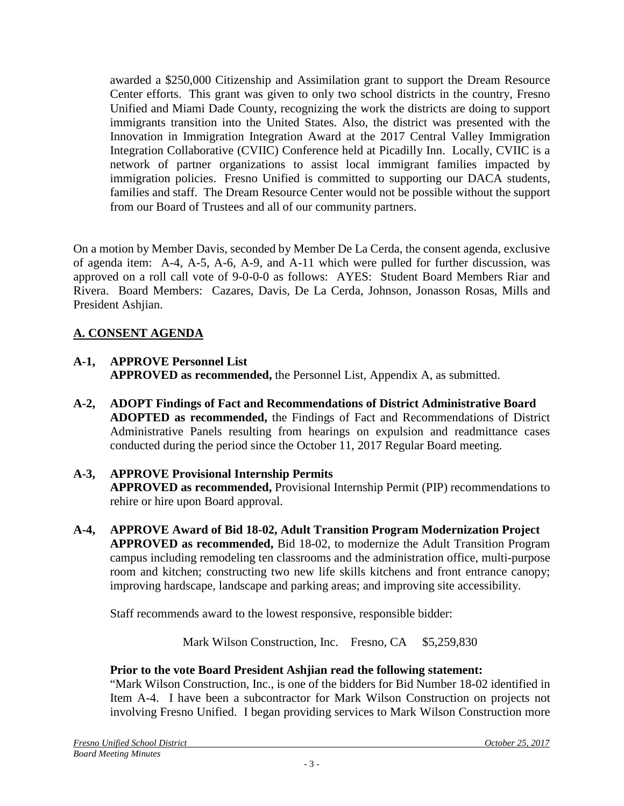awarded a \$250,000 Citizenship and Assimilation grant to support the Dream Resource Center efforts. This grant was given to only two school districts in the country, Fresno Unified and Miami Dade County, recognizing the work the districts are doing to support immigrants transition into the United States. Also, the district was presented with the Innovation in Immigration Integration Award at the 2017 Central Valley Immigration Integration Collaborative (CVIIC) Conference held at Picadilly Inn. Locally, CVIIC is a network of partner organizations to assist local immigrant families impacted by immigration policies. Fresno Unified is committed to supporting our DACA students, families and staff. The Dream Resource Center would not be possible without the support from our Board of Trustees and all of our community partners.

On a motion by Member Davis, seconded by Member De La Cerda, the consent agenda, exclusive of agenda item: A-4, A-5, A-6, A-9, and A-11 which were pulled for further discussion, was approved on a roll call vote of 9-0-0-0 as follows: AYES: Student Board Members Riar and Rivera. Board Members: Cazares, Davis, De La Cerda, Johnson, Jonasson Rosas, Mills and President Ashjian.

# **A. CONSENT AGENDA**

- **A-1, APPROVE Personnel List APPROVED as recommended,** the Personnel List, Appendix A, as submitted.
- **A-2, ADOPT Findings of Fact and Recommendations of District Administrative Board ADOPTED as recommended,** the Findings of Fact and Recommendations of District Administrative Panels resulting from hearings on expulsion and readmittance cases conducted during the period since the October 11, 2017 Regular Board meeting.
- **A-3, APPROVE Provisional Internship Permits APPROVED as recommended,** Provisional Internship Permit (PIP) recommendations to rehire or hire upon Board approval.
- **A-4, APPROVE Award of Bid 18-02, Adult Transition Program Modernization Project APPROVED as recommended,** Bid 18-02, to modernize the Adult Transition Program campus including remodeling ten classrooms and the administration office, multi-purpose room and kitchen; constructing two new life skills kitchens and front entrance canopy; improving hardscape, landscape and parking areas; and improving site accessibility.

Staff recommends award to the lowest responsive, responsible bidder:

Mark Wilson Construction, Inc. Fresno, CA \$5,259,830

# **Prior to the vote Board President Ashjian read the following statement:**

"Mark Wilson Construction, Inc., is one of the bidders for Bid Number 18-02 identified in Item A-4. I have been a subcontractor for Mark Wilson Construction on projects not involving Fresno Unified. I began providing services to Mark Wilson Construction more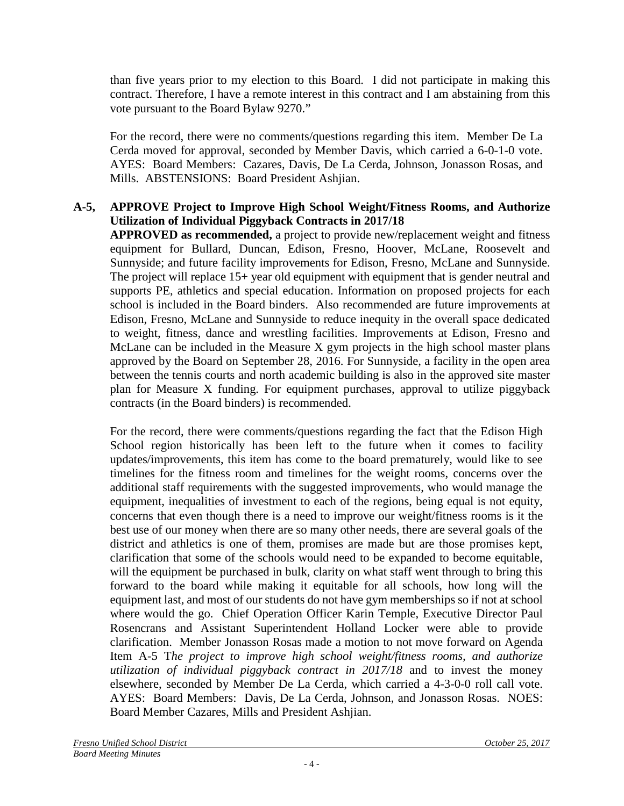than five years prior to my election to this Board. I did not participate in making this contract. Therefore, I have a remote interest in this contract and I am abstaining from this vote pursuant to the Board Bylaw 9270."

For the record, there were no comments/questions regarding this item. Member De La Cerda moved for approval, seconded by Member Davis, which carried a 6-0-1-0 vote. AYES: Board Members: Cazares, Davis, De La Cerda, Johnson, Jonasson Rosas, and Mills. ABSTENSIONS: Board President Ashjian.

# **A-5, APPROVE Project to Improve High School Weight/Fitness Rooms, and Authorize Utilization of Individual Piggyback Contracts in 2017/18**

**APPROVED as recommended,** a project to provide new/replacement weight and fitness equipment for Bullard, Duncan, Edison, Fresno, Hoover, McLane, Roosevelt and Sunnyside; and future facility improvements for Edison, Fresno, McLane and Sunnyside. The project will replace 15+ year old equipment with equipment that is gender neutral and supports PE, athletics and special education. Information on proposed projects for each school is included in the Board binders. Also recommended are future improvements at Edison, Fresno, McLane and Sunnyside to reduce inequity in the overall space dedicated to weight, fitness, dance and wrestling facilities. Improvements at Edison, Fresno and McLane can be included in the Measure X gym projects in the high school master plans approved by the Board on September 28, 2016. For Sunnyside, a facility in the open area between the tennis courts and north academic building is also in the approved site master plan for Measure X funding. For equipment purchases, approval to utilize piggyback contracts (in the Board binders) is recommended.

For the record, there were comments/questions regarding the fact that the Edison High School region historically has been left to the future when it comes to facility updates/improvements, this item has come to the board prematurely, would like to see timelines for the fitness room and timelines for the weight rooms, concerns over the additional staff requirements with the suggested improvements, who would manage the equipment, inequalities of investment to each of the regions, being equal is not equity, concerns that even though there is a need to improve our weight/fitness rooms is it the best use of our money when there are so many other needs, there are several goals of the district and athletics is one of them, promises are made but are those promises kept, clarification that some of the schools would need to be expanded to become equitable, will the equipment be purchased in bulk, clarity on what staff went through to bring this forward to the board while making it equitable for all schools, how long will the equipment last, and most of our students do not have gym memberships so if not at school where would the go. Chief Operation Officer Karin Temple, Executive Director Paul Rosencrans and Assistant Superintendent Holland Locker were able to provide clarification. Member Jonasson Rosas made a motion to not move forward on Agenda Item A-5 T*he project to improve high school weight/fitness rooms, and authorize utilization of individual piggyback contract in 2017/18* and to invest the money elsewhere, seconded by Member De La Cerda, which carried a 4-3-0-0 roll call vote. AYES: Board Members: Davis, De La Cerda, Johnson, and Jonasson Rosas. NOES: Board Member Cazares, Mills and President Ashjian.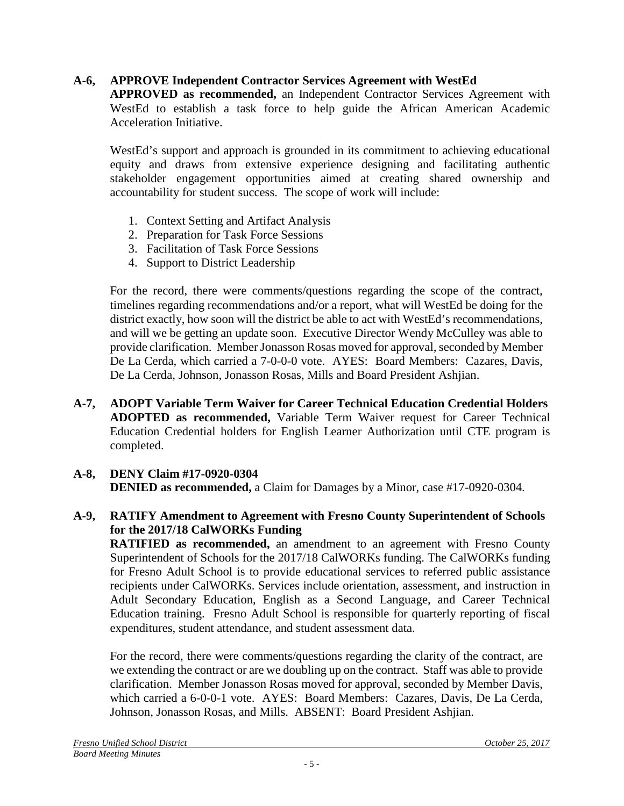# **A-6, APPROVE Independent Contractor Services Agreement with WestEd**

**APPROVED as recommended,** an Independent Contractor Services Agreement with WestEd to establish a task force to help guide the African American Academic Acceleration Initiative.

WestEd's support and approach is grounded in its commitment to achieving educational equity and draws from extensive experience designing and facilitating authentic stakeholder engagement opportunities aimed at creating shared ownership and accountability for student success. The scope of work will include:

- 1. Context Setting and Artifact Analysis
- 2. Preparation for Task Force Sessions
- 3. Facilitation of Task Force Sessions
- 4. Support to District Leadership

For the record, there were comments/questions regarding the scope of the contract, timelines regarding recommendations and/or a report, what will WestEd be doing for the district exactly, how soon will the district be able to act with WestEd's recommendations, and will we be getting an update soon. Executive Director Wendy McCulley was able to provide clarification. Member Jonasson Rosas moved for approval, seconded by Member De La Cerda, which carried a 7-0-0-0 vote. AYES: Board Members: Cazares, Davis, De La Cerda, Johnson, Jonasson Rosas, Mills and Board President Ashjian.

**A-7, ADOPT Variable Term Waiver for Career Technical Education Credential Holders ADOPTED as recommended,** Variable Term Waiver request for Career Technical Education Credential holders for English Learner Authorization until CTE program is completed.

# **A-8, DENY Claim #17-0920-0304**

**DENIED as recommended,** a Claim for Damages by a Minor, case #17-0920-0304.

### **A-9, RATIFY Amendment to Agreement with Fresno County Superintendent of Schools for the 2017/18 CalWORKs Funding**

**RATIFIED as recommended,** an amendment to an agreement with Fresno County Superintendent of Schools for the 2017/18 CalWORKs funding. The CalWORKs funding for Fresno Adult School is to provide educational services to referred public assistance recipients under CalWORKs. Services include orientation, assessment, and instruction in Adult Secondary Education, English as a Second Language, and Career Technical Education training. Fresno Adult School is responsible for quarterly reporting of fiscal expenditures, student attendance, and student assessment data.

For the record, there were comments/questions regarding the clarity of the contract, are we extending the contract or are we doubling up on the contract. Staff was able to provide clarification. Member Jonasson Rosas moved for approval, seconded by Member Davis, which carried a 6-0-0-1 vote. AYES: Board Members: Cazares, Davis, De La Cerda, Johnson, Jonasson Rosas, and Mills. ABSENT: Board President Ashjian.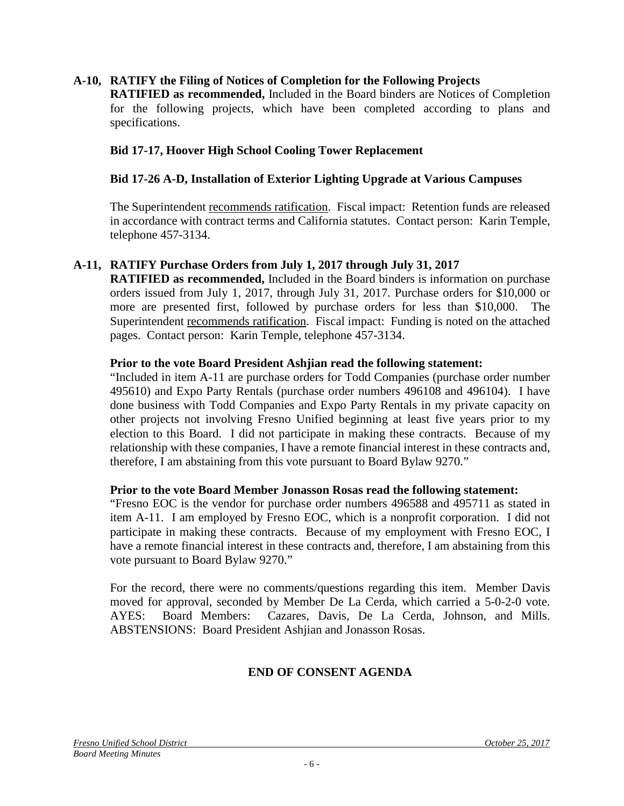#### **A-10, RATIFY the Filing of Notices of Completion for the Following Projects**

**RATIFIED as recommended,** Included in the Board binders are Notices of Completion for the following projects, which have been completed according to plans and specifications.

#### **Bid 17-17, Hoover High School Cooling Tower Replacement**

#### **Bid 17-26 A-D, Installation of Exterior Lighting Upgrade at Various Campuses**

The Superintendent recommends ratification. Fiscal impact: Retention funds are released in accordance with contract terms and California statutes. Contact person: Karin Temple, telephone 457-3134.

#### **A-11, RATIFY Purchase Orders from July 1, 2017 through July 31, 2017**

**RATIFIED as recommended,** Included in the Board binders is information on purchase orders issued from July 1, 2017, through July 31, 2017. Purchase orders for \$10,000 or more are presented first, followed by purchase orders for less than \$10,000. The Superintendent recommends ratification. Fiscal impact: Funding is noted on the attached pages. Contact person: Karin Temple, telephone 457-3134.

#### **Prior to the vote Board President Ashjian read the following statement:**

"Included in item A-11 are purchase orders for Todd Companies (purchase order number 495610) and Expo Party Rentals (purchase order numbers 496108 and 496104). I have done business with Todd Companies and Expo Party Rentals in my private capacity on other projects not involving Fresno Unified beginning at least five years prior to my election to this Board. I did not participate in making these contracts. Because of my relationship with these companies, I have a remote financial interest in these contracts and, therefore, I am abstaining from this vote pursuant to Board Bylaw 9270."

#### **Prior to the vote Board Member Jonasson Rosas read the following statement:**

"Fresno EOC is the vendor for purchase order numbers 496588 and 495711 as stated in item A-11. I am employed by Fresno EOC, which is a nonprofit corporation. I did not participate in making these contracts. Because of my employment with Fresno EOC, I have a remote financial interest in these contracts and, therefore, I am abstaining from this vote pursuant to Board Bylaw 9270."

For the record, there were no comments/questions regarding this item. Member Davis moved for approval, seconded by Member De La Cerda, which carried a 5-0-2-0 vote. AYES: Board Members: Cazares, Davis, De La Cerda, Johnson, and Mills. ABSTENSIONS: Board President Ashjian and Jonasson Rosas.

### **END OF CONSENT AGENDA**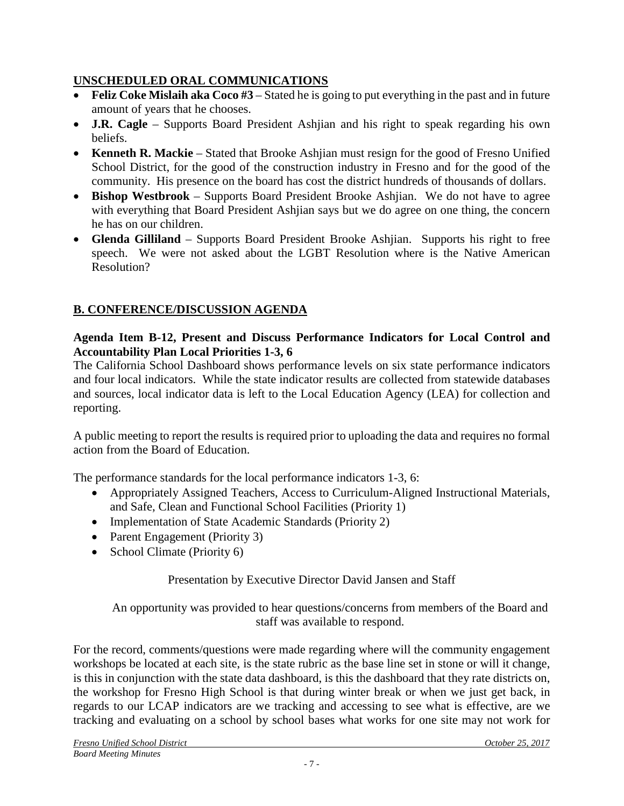# **UNSCHEDULED ORAL COMMUNICATIONS**

- **Feliz Coke Mislaih aka Coco #3** Stated he is going to put everything in the past and in future amount of years that he chooses.
- **J.R. Cagle** Supports Board President Ashjian and his right to speak regarding his own beliefs.
- **Kenneth R. Mackie** Stated that Brooke Ashijan must resign for the good of Fresno Unified School District, for the good of the construction industry in Fresno and for the good of the community. His presence on the board has cost the district hundreds of thousands of dollars.
- **Bishop Westbrook** Supports Board President Brooke Ashjian. We do not have to agree with everything that Board President Ashjian says but we do agree on one thing, the concern he has on our children.
- **Glenda Gilliland** Supports Board President Brooke Ashjian. Supports his right to free speech. We were not asked about the LGBT Resolution where is the Native American Resolution?

# **B. CONFERENCE/DISCUSSION AGENDA**

### **Agenda Item B-12, Present and Discuss Performance Indicators for Local Control and Accountability Plan Local Priorities 1-3, 6**

The California School Dashboard shows performance levels on six state performance indicators and four local indicators. While the state indicator results are collected from statewide databases and sources, local indicator data is left to the Local Education Agency (LEA) for collection and reporting.

A public meeting to report the results is required prior to uploading the data and requires no formal action from the Board of Education.

The performance standards for the local performance indicators 1-3, 6:

- Appropriately Assigned Teachers, Access to Curriculum-Aligned Instructional Materials, and Safe, Clean and Functional School Facilities (Priority 1)
- Implementation of State Academic Standards (Priority 2)
- Parent Engagement (Priority 3)
- School Climate (Priority 6)

# Presentation by Executive Director David Jansen and Staff

### An opportunity was provided to hear questions/concerns from members of the Board and staff was available to respond.

For the record, comments/questions were made regarding where will the community engagement workshops be located at each site, is the state rubric as the base line set in stone or will it change, is this in conjunction with the state data dashboard, is this the dashboard that they rate districts on, the workshop for Fresno High School is that during winter break or when we just get back, in regards to our LCAP indicators are we tracking and accessing to see what is effective, are we tracking and evaluating on a school by school bases what works for one site may not work for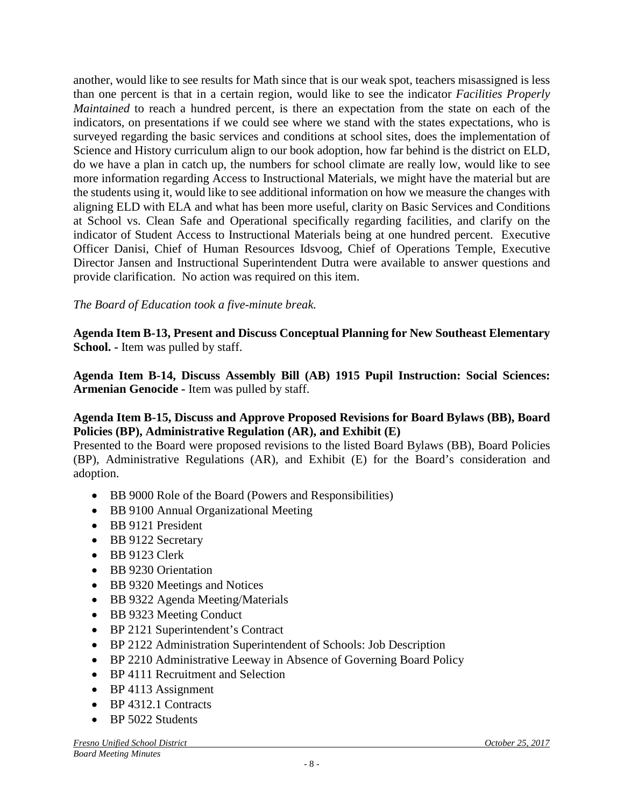another, would like to see results for Math since that is our weak spot, teachers misassigned is less than one percent is that in a certain region, would like to see the indicator *Facilities Properly Maintained* to reach a hundred percent, is there an expectation from the state on each of the indicators, on presentations if we could see where we stand with the states expectations, who is surveyed regarding the basic services and conditions at school sites, does the implementation of Science and History curriculum align to our book adoption, how far behind is the district on ELD, do we have a plan in catch up, the numbers for school climate are really low, would like to see more information regarding Access to Instructional Materials, we might have the material but are the students using it, would like to see additional information on how we measure the changes with aligning ELD with ELA and what has been more useful, clarity on Basic Services and Conditions at School vs. Clean Safe and Operational specifically regarding facilities, and clarify on the indicator of Student Access to Instructional Materials being at one hundred percent. Executive Officer Danisi, Chief of Human Resources Idsvoog, Chief of Operations Temple, Executive Director Jansen and Instructional Superintendent Dutra were available to answer questions and provide clarification. No action was required on this item.

# *The Board of Education took a five-minute break.*

**Agenda Item B-13, Present and Discuss Conceptual Planning for New Southeast Elementary School. -** Item was pulled by staff.

**Agenda Item B-14, Discuss Assembly Bill (AB) 1915 Pupil Instruction: Social Sciences: Armenian Genocide -** Item was pulled by staff.

### **Agenda Item B-15, Discuss and Approve Proposed Revisions for Board Bylaws (BB), Board Policies (BP), Administrative Regulation (AR), and Exhibit (E)**

Presented to the Board were proposed revisions to the listed Board Bylaws (BB), Board Policies (BP), Administrative Regulations (AR), and Exhibit (E) for the Board's consideration and adoption.

- BB 9000 Role of the Board (Powers and Responsibilities)
- BB 9100 Annual Organizational Meeting
- BB 9121 President
- BB 9122 Secretary
- BB 9123 Clerk
- BB 9230 Orientation
- BB 9320 Meetings and Notices
- BB 9322 Agenda Meeting/Materials
- BB 9323 Meeting Conduct
- BP 2121 Superintendent's Contract
- BP 2122 Administration Superintendent of Schools: Job Description
- BP 2210 Administrative Leeway in Absence of Governing Board Policy
- BP 4111 Recruitment and Selection
- BP 4113 Assignment
- BP 4312.1 Contracts
- BP 5022 Students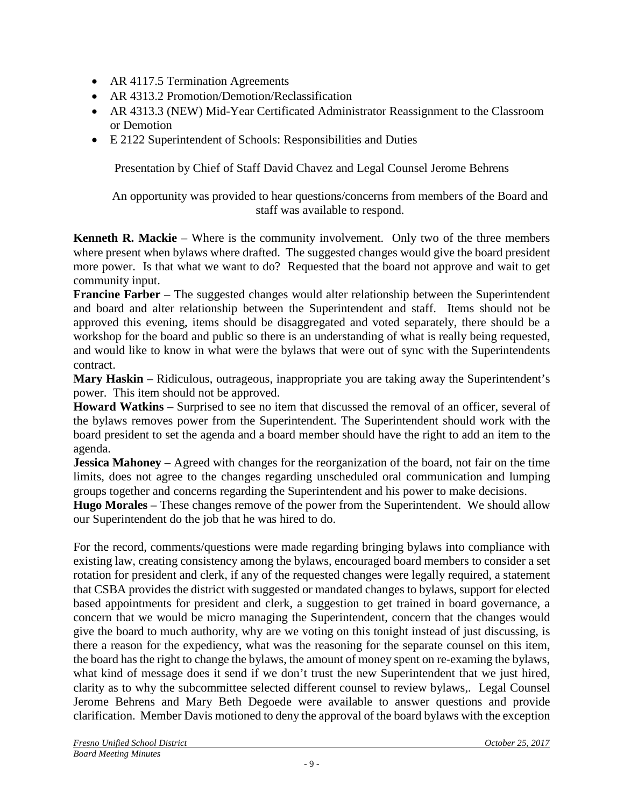- AR 4117.5 Termination Agreements
- AR 4313.2 Promotion/Demotion/Reclassification
- AR 4313.3 (NEW) Mid-Year Certificated Administrator Reassignment to the Classroom or Demotion
- E 2122 Superintendent of Schools: Responsibilities and Duties

Presentation by Chief of Staff David Chavez and Legal Counsel Jerome Behrens

An opportunity was provided to hear questions/concerns from members of the Board and staff was available to respond.

**Kenneth R. Mackie** – Where is the community involvement. Only two of the three members where present when bylaws where drafted. The suggested changes would give the board president more power. Is that what we want to do? Requested that the board not approve and wait to get community input.

**Francine Farber** – The suggested changes would alter relationship between the Superintendent and board and alter relationship between the Superintendent and staff. Items should not be approved this evening, items should be disaggregated and voted separately, there should be a workshop for the board and public so there is an understanding of what is really being requested, and would like to know in what were the bylaws that were out of sync with the Superintendents contract.

**Mary Haskin** – Ridiculous, outrageous, inappropriate you are taking away the Superintendent's power. This item should not be approved.

**Howard Watkins** – Surprised to see no item that discussed the removal of an officer, several of the bylaws removes power from the Superintendent. The Superintendent should work with the board president to set the agenda and a board member should have the right to add an item to the agenda.

**Jessica Mahoney** – Agreed with changes for the reorganization of the board, not fair on the time limits, does not agree to the changes regarding unscheduled oral communication and lumping groups together and concerns regarding the Superintendent and his power to make decisions.

**Hugo Morales –** These changes remove of the power from the Superintendent. We should allow our Superintendent do the job that he was hired to do.

For the record, comments/questions were made regarding bringing bylaws into compliance with existing law, creating consistency among the bylaws, encouraged board members to consider a set rotation for president and clerk, if any of the requested changes were legally required, a statement that CSBA provides the district with suggested or mandated changes to bylaws, support for elected based appointments for president and clerk, a suggestion to get trained in board governance, a concern that we would be micro managing the Superintendent, concern that the changes would give the board to much authority, why are we voting on this tonight instead of just discussing, is there a reason for the expediency, what was the reasoning for the separate counsel on this item, the board has the right to change the bylaws, the amount of money spent on re-examing the bylaws, what kind of message does it send if we don't trust the new Superintendent that we just hired, clarity as to why the subcommittee selected different counsel to review bylaws,. Legal Counsel Jerome Behrens and Mary Beth Degoede were available to answer questions and provide clarification. Member Davis motioned to deny the approval of the board bylaws with the exception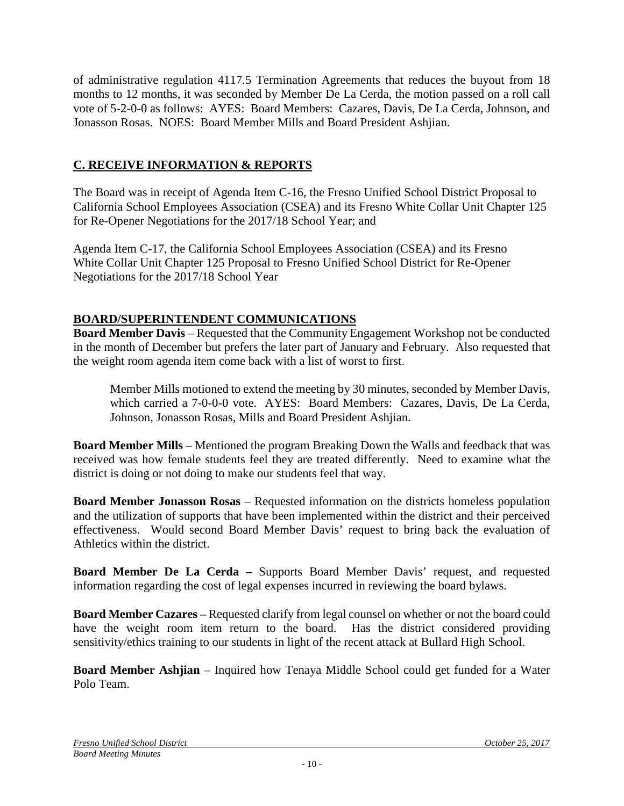of administrative regulation 4117.5 Termination Agreements that reduces the buyout from 18 months to 12 months, it was seconded by Member De La Cerda, the motion passed on a roll call vote of 5-2-0-0 as follows: AYES: Board Members: Cazares, Davis, De La Cerda, Johnson, and Jonasson Rosas. NOES: Board Member Mills and Board President Ashjian.

# **C. RECEIVE INFORMATION & REPORTS**

The Board was in receipt of Agenda Item C-16, the Fresno Unified School District Proposal to California School Employees Association (CSEA) and its Fresno White Collar Unit Chapter 125 for Re-Opener Negotiations for the 2017/18 School Year; and

Agenda Item C-17, the California School Employees Association (CSEA) and its Fresno White Collar Unit Chapter 125 Proposal to Fresno Unified School District for Re-Opener Negotiations for the 2017/18 School Year

# **BOARD/SUPERINTENDENT COMMUNICATIONS**

**Board Member Davis** – Requested that the Community Engagement Workshop not be conducted in the month of December but prefers the later part of January and February. Also requested that the weight room agenda item come back with a list of worst to first.

Member Mills motioned to extend the meeting by 30 minutes, seconded by Member Davis, which carried a 7-0-0-0 vote. AYES: Board Members: Cazares, Davis, De La Cerda, Johnson, Jonasson Rosas, Mills and Board President Ashjian.

**Board Member Mills** – Mentioned the program Breaking Down the Walls and feedback that was received was how female students feel they are treated differently. Need to examine what the district is doing or not doing to make our students feel that way.

**Board Member Jonasson Rosas** – Requested information on the districts homeless population and the utilization of supports that have been implemented within the district and their perceived effectiveness. Would second Board Member Davis' request to bring back the evaluation of Athletics within the district.

**Board Member De La Cerda –** Supports Board Member Davis' request, and requested information regarding the cost of legal expenses incurred in reviewing the board bylaws.

**Board Member Cazares –** Requested clarify from legal counsel on whether or not the board could have the weight room item return to the board. Has the district considered providing sensitivity/ethics training to our students in light of the recent attack at Bullard High School.

**Board Member Ashjian** – Inquired how Tenaya Middle School could get funded for a Water Polo Team.